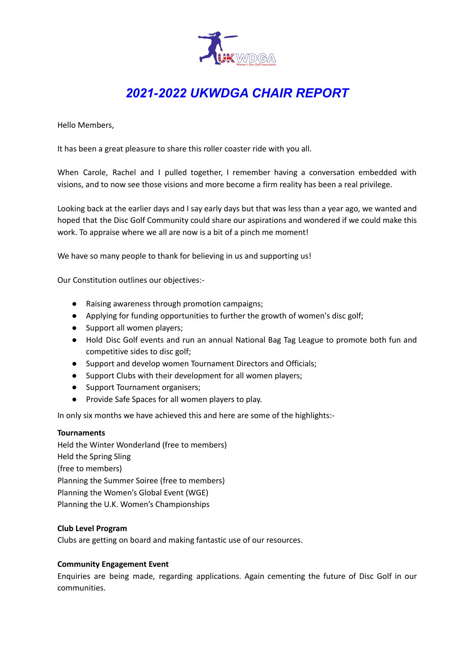

# *2021-2022 UKWDGA CHAIR REPORT*

Hello Members,

It has been a great pleasure to share this roller coaster ride with you all.

When Carole, Rachel and I pulled together, I remember having a conversation embedded with visions, and to now see those visions and more become a firm reality has been a real privilege.

Looking back at the earlier days and I say early days but that was less than a year ago, we wanted and hoped that the Disc Golf Community could share our aspirations and wondered if we could make this work. To appraise where we all are now is a bit of a pinch me moment!

We have so many people to thank for believing in us and supporting us!

Our Constitution outlines our objectives:-

- Raising awareness through promotion campaigns;
- Applying for funding opportunities to further the growth of women's disc golf;
- Support all women players;
- Hold Disc Golf events and run an annual National Bag Tag League to promote both fun and competitive sides to disc golf;
- Support and develop women Tournament Directors and Officials;
- Support Clubs with their development for all women players;
- Support Tournament organisers;
- Provide Safe Spaces for all women players to play.

In only six months we have achieved this and here are some of the highlights:-

### **Tournaments**

Held the Winter Wonderland (free to members) Held the Spring Sling (free to members) Planning the Summer Soiree (free to members) Planning the Women's Global Event (WGE) Planning the U.K. Women's Championships

### **Club Level Program**

Clubs are getting on board and making fantastic use of our resources.

### **Community Engagement Event**

Enquiries are being made, regarding applications. Again cementing the future of Disc Golf in our communities.